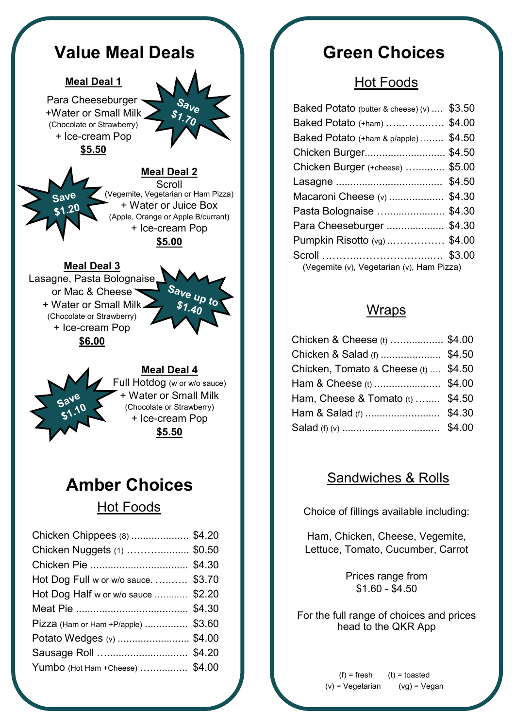